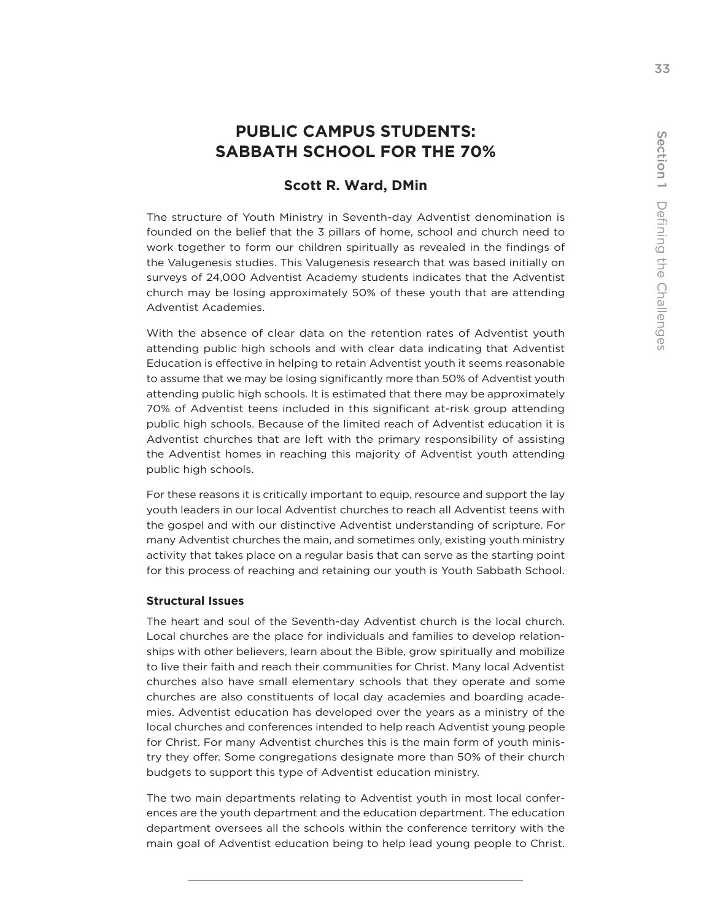# **PUBLIC CAMPUS STUDENTS: SABBATH SCHOOL FOR THE 70%**

# **Scott R. Ward, DMin**

The structure of Youth Ministry in Seventh-day Adventist denomination is founded on the belief that the 3 pillars of home, school and church need to work together to form our children spiritually as revealed in the findings of the Valugenesis studies. This Valugenesis research that was based initially on surveys of 24,000 Adventist Academy students indicates that the Adventist church may be losing approximately 50% of these youth that are attending Adventist Academies.

With the absence of clear data on the retention rates of Adventist youth attending public high schools and with clear data indicating that Adventist Education is effective in helping to retain Adventist youth it seems reasonable to assume that we may be losing significantly more than 50% of Adventist youth attending public high schools. It is estimated that there may be approximately 70% of Adventist teens included in this significant at-risk group attending public high schools. Because of the limited reach of Adventist education it is Adventist churches that are left with the primary responsibility of assisting the Adventist homes in reaching this majority of Adventist youth attending public high schools.

For these reasons it is critically important to equip, resource and support the lay youth leaders in our local Adventist churches to reach all Adventist teens with the gospel and with our distinctive Adventist understanding of scripture. For many Adventist churches the main, and sometimes only, existing youth ministry activity that takes place on a regular basis that can serve as the starting point for this process of reaching and retaining our youth is Youth Sabbath School.

## **Structural Issues**

The heart and soul of the Seventh-day Adventist church is the local church. Local churches are the place for individuals and families to develop relationships with other believers, learn about the Bible, grow spiritually and mobilize to live their faith and reach their communities for Christ. Many local Adventist churches also have small elementary schools that they operate and some churches are also constituents of local day academies and boarding academies. Adventist education has developed over the years as a ministry of the local churches and conferences intended to help reach Adventist young people for Christ. For many Adventist churches this is the main form of youth ministry they offer. Some congregations designate more than 50% of their church budgets to support this type of Adventist education ministry.

The two main departments relating to Adventist youth in most local conferences are the youth department and the education department. The education department oversees all the schools within the conference territory with the main goal of Adventist education being to help lead young people to Christ.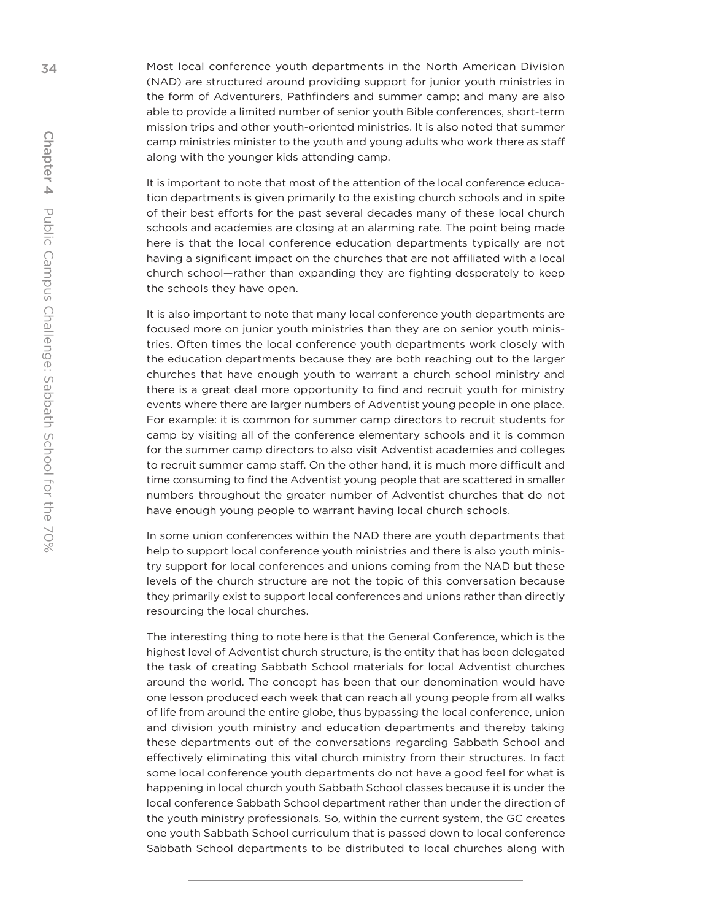34 Most local conference youth departments in the North American Division (NAD) are structured around providing support for junior youth ministries in the form of Adventurers, Pathfinders and summer camp; and many are also able to provide a limited number of senior youth Bible conferences, short-term mission trips and other youth-oriented ministries. It is also noted that summer camp ministries minister to the youth and young adults who work there as staff along with the younger kids attending camp.

> It is important to note that most of the attention of the local conference education departments is given primarily to the existing church schools and in spite of their best efforts for the past several decades many of these local church schools and academies are closing at an alarming rate. The point being made here is that the local conference education departments typically are not having a significant impact on the churches that are not affiliated with a local church school—rather than expanding they are fighting desperately to keep the schools they have open.

> It is also important to note that many local conference youth departments are focused more on junior youth ministries than they are on senior youth ministries. Often times the local conference youth departments work closely with the education departments because they are both reaching out to the larger churches that have enough youth to warrant a church school ministry and there is a great deal more opportunity to find and recruit youth for ministry events where there are larger numbers of Adventist young people in one place. For example: it is common for summer camp directors to recruit students for camp by visiting all of the conference elementary schools and it is common for the summer camp directors to also visit Adventist academies and colleges to recruit summer camp staff. On the other hand, it is much more difficult and time consuming to find the Adventist young people that are scattered in smaller numbers throughout the greater number of Adventist churches that do not have enough young people to warrant having local church schools.

> In some union conferences within the NAD there are youth departments that help to support local conference youth ministries and there is also youth ministry support for local conferences and unions coming from the NAD but these levels of the church structure are not the topic of this conversation because they primarily exist to support local conferences and unions rather than directly resourcing the local churches.

> The interesting thing to note here is that the General Conference, which is the highest level of Adventist church structure, is the entity that has been delegated the task of creating Sabbath School materials for local Adventist churches around the world. The concept has been that our denomination would have one lesson produced each week that can reach all young people from all walks of life from around the entire globe, thus bypassing the local conference, union and division youth ministry and education departments and thereby taking these departments out of the conversations regarding Sabbath School and effectively eliminating this vital church ministry from their structures. In fact some local conference youth departments do not have a good feel for what is happening in local church youth Sabbath School classes because it is under the local conference Sabbath School department rather than under the direction of the youth ministry professionals. So, within the current system, the GC creates one youth Sabbath School curriculum that is passed down to local conference Sabbath School departments to be distributed to local churches along with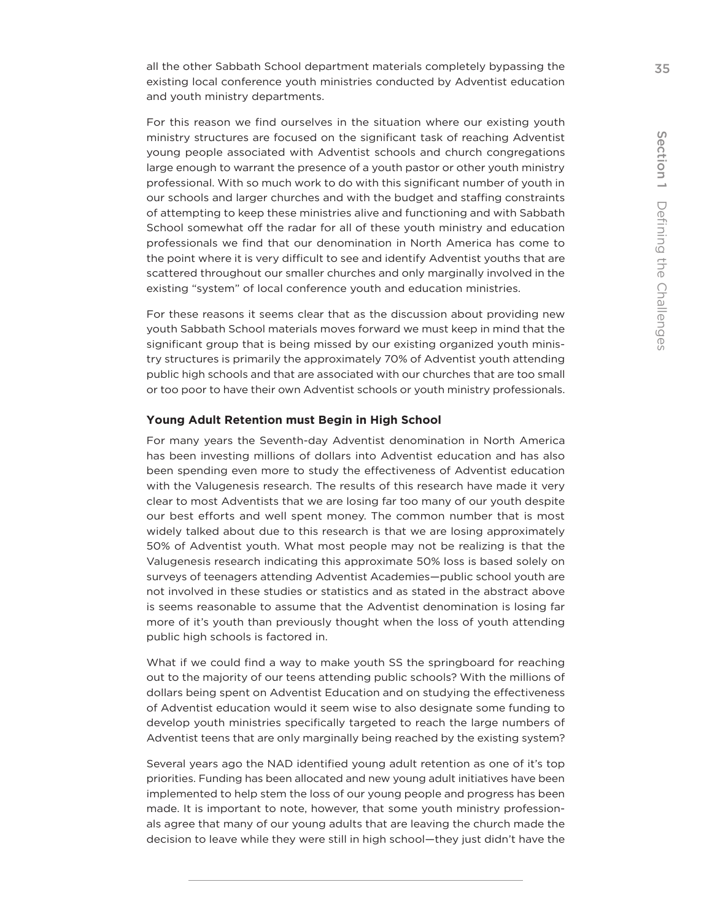all the other Sabbath School department materials completely bypassing the 35 existing local conference youth ministries conducted by Adventist education and youth ministry departments.

For this reason we find ourselves in the situation where our existing youth ministry structures are focused on the significant task of reaching Adventist young people associated with Adventist schools and church congregations large enough to warrant the presence of a youth pastor or other youth ministry professional. With so much work to do with this significant number of youth in our schools and larger churches and with the budget and staffing constraints of attempting to keep these ministries alive and functioning and with Sabbath School somewhat off the radar for all of these youth ministry and education professionals we find that our denomination in North America has come to the point where it is very difficult to see and identify Adventist youths that are scattered throughout our smaller churches and only marginally involved in the existing "system" of local conference youth and education ministries.

For these reasons it seems clear that as the discussion about providing new youth Sabbath School materials moves forward we must keep in mind that the significant group that is being missed by our existing organized youth ministry structures is primarily the approximately 70% of Adventist youth attending public high schools and that are associated with our churches that are too small or too poor to have their own Adventist schools or youth ministry professionals.

#### **Young Adult Retention must Begin in High School**

For many years the Seventh-day Adventist denomination in North America has been investing millions of dollars into Adventist education and has also been spending even more to study the effectiveness of Adventist education with the Valugenesis research. The results of this research have made it very clear to most Adventists that we are losing far too many of our youth despite our best efforts and well spent money. The common number that is most widely talked about due to this research is that we are losing approximately 50% of Adventist youth. What most people may not be realizing is that the Valugenesis research indicating this approximate 50% loss is based solely on surveys of teenagers attending Adventist Academies—public school youth are not involved in these studies or statistics and as stated in the abstract above is seems reasonable to assume that the Adventist denomination is losing far more of it's youth than previously thought when the loss of youth attending public high schools is factored in.

What if we could find a way to make youth SS the springboard for reaching out to the majority of our teens attending public schools? With the millions of dollars being spent on Adventist Education and on studying the effectiveness of Adventist education would it seem wise to also designate some funding to develop youth ministries specifically targeted to reach the large numbers of Adventist teens that are only marginally being reached by the existing system?

Several years ago the NAD identified young adult retention as one of it's top priorities. Funding has been allocated and new young adult initiatives have been implemented to help stem the loss of our young people and progress has been made. It is important to note, however, that some youth ministry professionals agree that many of our young adults that are leaving the church made the decision to leave while they were still in high school—they just didn't have the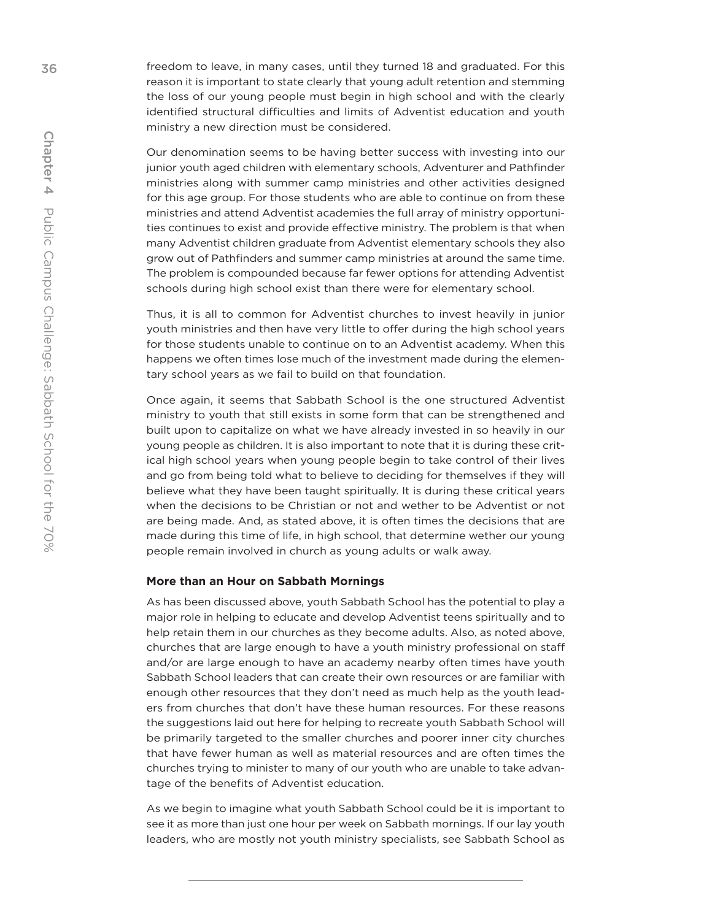36 freedom to leave, in many cases, until they turned 18 and graduated. For this reason it is important to state clearly that young adult retention and stemming the loss of our young people must begin in high school and with the clearly identified structural difficulties and limits of Adventist education and youth ministry a new direction must be considered.

> Our denomination seems to be having better success with investing into our junior youth aged children with elementary schools, Adventurer and Pathfinder ministries along with summer camp ministries and other activities designed for this age group. For those students who are able to continue on from these ministries and attend Adventist academies the full array of ministry opportunities continues to exist and provide effective ministry. The problem is that when many Adventist children graduate from Adventist elementary schools they also grow out of Pathfinders and summer camp ministries at around the same time. The problem is compounded because far fewer options for attending Adventist schools during high school exist than there were for elementary school.

> Thus, it is all to common for Adventist churches to invest heavily in junior youth ministries and then have very little to offer during the high school years for those students unable to continue on to an Adventist academy. When this happens we often times lose much of the investment made during the elementary school years as we fail to build on that foundation.

> Once again, it seems that Sabbath School is the one structured Adventist ministry to youth that still exists in some form that can be strengthened and built upon to capitalize on what we have already invested in so heavily in our young people as children. It is also important to note that it is during these critical high school years when young people begin to take control of their lives and go from being told what to believe to deciding for themselves if they will believe what they have been taught spiritually. It is during these critical years when the decisions to be Christian or not and wether to be Adventist or not are being made. And, as stated above, it is often times the decisions that are made during this time of life, in high school, that determine wether our young people remain involved in church as young adults or walk away.

### **More than an Hour on Sabbath Mornings**

As has been discussed above, youth Sabbath School has the potential to play a major role in helping to educate and develop Adventist teens spiritually and to help retain them in our churches as they become adults. Also, as noted above, churches that are large enough to have a youth ministry professional on staff and/or are large enough to have an academy nearby often times have youth Sabbath School leaders that can create their own resources or are familiar with enough other resources that they don't need as much help as the youth leaders from churches that don't have these human resources. For these reasons the suggestions laid out here for helping to recreate youth Sabbath School will be primarily targeted to the smaller churches and poorer inner city churches that have fewer human as well as material resources and are often times the churches trying to minister to many of our youth who are unable to take advantage of the benefits of Adventist education.

As we begin to imagine what youth Sabbath School could be it is important to see it as more than just one hour per week on Sabbath mornings. If our lay youth leaders, who are mostly not youth ministry specialists, see Sabbath School as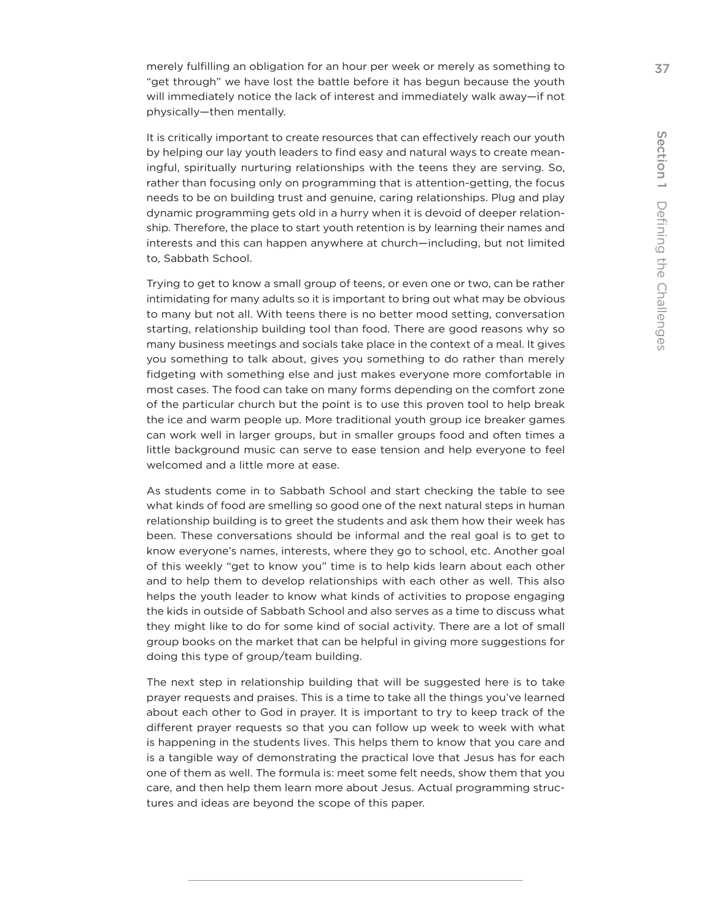Section 1 Defining the Challenges

merely fulfilling an obligation for an hour per week or merely as something to 37 "get through" we have lost the battle before it has begun because the youth will immediately notice the lack of interest and immediately walk away—if not physically—then mentally.

It is critically important to create resources that can effectively reach our youth by helping our lay youth leaders to find easy and natural ways to create meaningful, spiritually nurturing relationships with the teens they are serving. So, rather than focusing only on programming that is attention-getting, the focus needs to be on building trust and genuine, caring relationships. Plug and play dynamic programming gets old in a hurry when it is devoid of deeper relationship. Therefore, the place to start youth retention is by learning their names and interests and this can happen anywhere at church—including, but not limited to, Sabbath School.

Trying to get to know a small group of teens, or even one or two, can be rather intimidating for many adults so it is important to bring out what may be obvious to many but not all. With teens there is no better mood setting, conversation starting, relationship building tool than food. There are good reasons why so many business meetings and socials take place in the context of a meal. It gives you something to talk about, gives you something to do rather than merely fidgeting with something else and just makes everyone more comfortable in most cases. The food can take on many forms depending on the comfort zone of the particular church but the point is to use this proven tool to help break the ice and warm people up. More traditional youth group ice breaker games can work well in larger groups, but in smaller groups food and often times a little background music can serve to ease tension and help everyone to feel welcomed and a little more at ease.

As students come in to Sabbath School and start checking the table to see what kinds of food are smelling so good one of the next natural steps in human relationship building is to greet the students and ask them how their week has been. These conversations should be informal and the real goal is to get to know everyone's names, interests, where they go to school, etc. Another goal of this weekly "get to know you" time is to help kids learn about each other and to help them to develop relationships with each other as well. This also helps the youth leader to know what kinds of activities to propose engaging the kids in outside of Sabbath School and also serves as a time to discuss what they might like to do for some kind of social activity. There are a lot of small group books on the market that can be helpful in giving more suggestions for doing this type of group/team building.

The next step in relationship building that will be suggested here is to take prayer requests and praises. This is a time to take all the things you've learned about each other to God in prayer. It is important to try to keep track of the different prayer requests so that you can follow up week to week with what is happening in the students lives. This helps them to know that you care and is a tangible way of demonstrating the practical love that Jesus has for each one of them as well. The formula is: meet some felt needs, show them that you care, and then help them learn more about Jesus. Actual programming structures and ideas are beyond the scope of this paper.